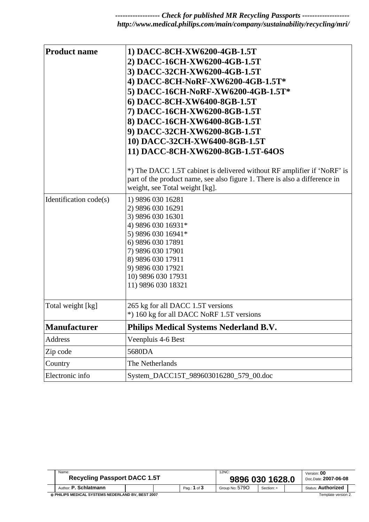*------------------ Check for published MR Recycling Passports ------------------ http://www.medical.philips.com/main/company/sustainability/recycling/mri/* 

| <b>Product name</b>    | 1) DACC-8CH-XW6200-4GB-1.5T<br>2) DACC-16CH-XW6200-4GB-1.5T<br>3) DACC-32CH-XW6200-4GB-1.5T<br>4) DACC-8CH-NoRF-XW6200-4GB-1.5T*<br>5) DACC-16CH-NoRF-XW6200-4GB-1.5T*<br>6) DACC-8CH-XW6400-8GB-1.5T<br>7) DACC-16CH-XW6200-8GB-1.5T<br>8) DACC-16CH-XW6400-8GB-1.5T<br>9) DACC-32CH-XW6200-8GB-1.5T<br>10) DACC-32CH-XW6400-8GB-1.5T<br>11) DACC-8CH-XW6200-8GB-1.5T-64OS |
|------------------------|-----------------------------------------------------------------------------------------------------------------------------------------------------------------------------------------------------------------------------------------------------------------------------------------------------------------------------------------------------------------------------|
|                        | *) The DACC 1.5T cabinet is delivered without RF amplifier if 'NoRF' is<br>part of the product name, see also figure 1. There is also a difference in<br>weight, see Total weight [kg].                                                                                                                                                                                     |
| Identification code(s) | 1) 9896 030 16281<br>2) 9896 030 16291<br>3) 9896 030 16301<br>4) 9896 030 16931*<br>5) 9896 030 16941*<br>6) 9896 030 17891<br>7) 9896 030 17901<br>8) 9896 030 17911<br>9) 9896 030 17921<br>10) 9896 030 17931<br>11) 9896 030 18321                                                                                                                                     |
| Total weight [kg]      | 265 kg for all DACC 1.5T versions<br>*) 160 kg for all DACC NoRF 1.5T versions                                                                                                                                                                                                                                                                                              |
| <b>Manufacturer</b>    | <b>Philips Medical Systems Nederland B.V.</b>                                                                                                                                                                                                                                                                                                                               |
| <b>Address</b>         | Veenpluis 4-6 Best                                                                                                                                                                                                                                                                                                                                                          |
| Zip code               | 5680DA                                                                                                                                                                                                                                                                                                                                                                      |
| Country                | The Netherlands                                                                                                                                                                                                                                                                                                                                                             |
| Electronic info        | System_DACC15T_989603016280_579_00.doc                                                                                                                                                                                                                                                                                                                                      |

|                                                   | Name:<br><b>Recycling Passport DACC 1.5T</b> |  |  | 12NC:<br>9896 030 1628.0 |                |            | Version: <b>00</b><br>Doc.Date: 2007-06-08 |                           |  |
|---------------------------------------------------|----------------------------------------------|--|--|--------------------------|----------------|------------|--------------------------------------------|---------------------------|--|
|                                                   | Author: <b>P. Schlatmann</b>                 |  |  | Pag.: 1 of 3             | Group No: 5790 | Section: - |                                            | <b>Status: Authorized</b> |  |
| © PHILIPS MEDICAL SYSTEMS NEDERLAND BV. BEST 2007 |                                              |  |  |                          |                |            | Template version 2.                        |                           |  |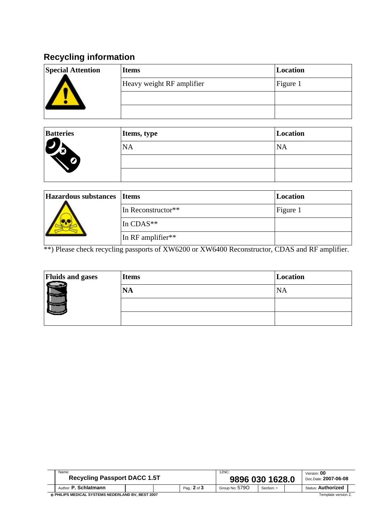# **Recycling information**

| <b>Special Attention</b> | <b>Items</b>              | Location |
|--------------------------|---------------------------|----------|
|                          | Heavy weight RF amplifier | Figure 1 |
|                          |                           |          |
|                          |                           |          |

| <b>Batteries</b> | Items, type | Location  |
|------------------|-------------|-----------|
| 15               | <b>NA</b>   | <b>NA</b> |
| Z                |             |           |
|                  |             |           |

| Hazardous substances Items |                    | Location |
|----------------------------|--------------------|----------|
|                            | In Reconstructor** | Figure 1 |
|                            | In CDAS**          |          |
|                            | In RF amplifier**  |          |

\*\*) Please check recycling passports of XW6200 or XW6400 Reconstructor, CDAS and RF amplifier.

| <b>Fluids and gases</b> | <b>Items</b> | Location |
|-------------------------|--------------|----------|
|                         | <b>NA</b>    | NA       |
| -------                 |              |          |
|                         |              |          |

| Name:<br><b>Recycling Passport DACC 1.5T</b>      |  |  | 12NC:<br>9896 030 1628.0 |                     |            | Version: 00<br>Doc.Date: 2007-06-08 |                           |  |
|---------------------------------------------------|--|--|--------------------------|---------------------|------------|-------------------------------------|---------------------------|--|
| Author: P. Schlatmann                             |  |  | Pag.: 2 of 3             | Group No: 579O      | Section: - |                                     | <b>Status: Authorized</b> |  |
| © PHILIPS MEDICAL SYSTEMS NEDERLAND BV. BEST 2007 |  |  |                          | Template version 2. |            |                                     |                           |  |